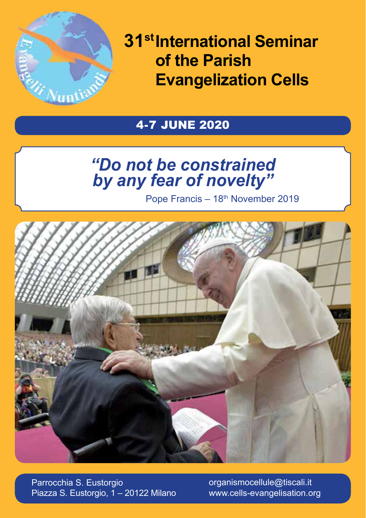

**31st International Seminar of the Parish Evangelization Cells**

# 4-7 JUNE 2020

# *"Do not be constrained by any fear of novelty"*

Pope Francis – 18<sup>th</sup> November 2019



Parrocchia S. Eustorgio Piazza S. Eustorgio, 1 – 20122 Milano organismocellule@tiscali.it www.cells-evangelisation.org